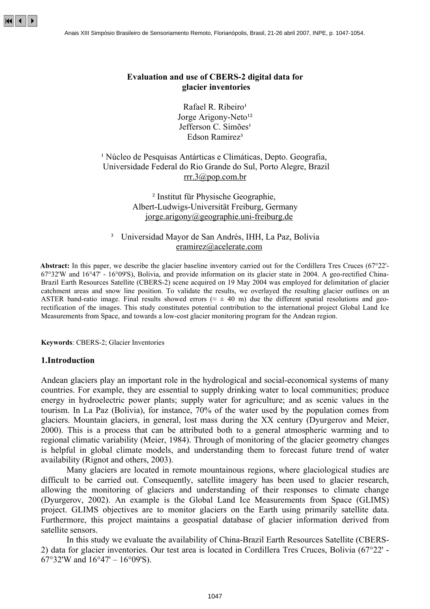# **Evaluation and use of CBERS-2 digital data for glacier inventories**

Rafael R. Ribeiro<sup>1</sup> Jorge Arigony-Neto<sup>12</sup> Jefferson C. Simões<sup>1</sup> Edson Ramirez<sup>3</sup>

# <sup>1</sup> Núcleo de Pesquisas Antárticas e Climáticas, Depto. Geografia, Universidade Federal do Rio Grande do Sul, Porto Alegre, Brazil [rrr.3@pop.com.br](mailto:rrr.3@pop.com.br)

² Institut für Physische Geographie, Albert-Ludwigs-Universität Freiburg, Germany [jorge.arigony@geographie.uni-freiburg.de](mailto:jorge.arigony@geographie.uni-freiburg.de)

### ³ Universidad Mayor de San Andrés, IHH, La Paz, Bolivia [eramirez@acelerate.com](mailto:eramirez@acelerate.com)

**Abstract:** In this paper, we describe the glacier baseline inventory carried out for the Cordillera Tres Cruces (67°22'- 67°32'W and 16°47' - 16°09'S), Bolivia, and provide information on its glacier state in 2004. A geo-rectified China-Brazil Earth Resources Satellite (CBERS-2) scene acquired on 19 May 2004 was employed for delimitation of glacier catchment areas and snow line position. To validate the results, we overlayed the resulting glacier outlines on an ASTER band-ratio image. Final results showed errors ( $\approx \pm 40$  m) due the different spatial resolutions and georectification of the images. This study constitutes potential contribution to the international project Global Land Ice Measurements from Space, and towards a low-cost glacier monitoring program for the Andean region.

**Keywords**: CBERS-2; Glacier Inventories

### **1.Introduction**

Andean glaciers play an important role in the hydrological and social-economical systems of many countries. For example, they are essential to supply drinking water to local communities; produce energy in hydroelectric power plants; supply water for agriculture; and as scenic values in the tourism. In La Paz (Bolivia), for instance, 70% of the water used by the population comes from glaciers. Mountain glaciers, in general, lost mass during the XX century (Dyurgerov and Meier, 2000). This is a process that can be attributed both to a general atmospheric warming and to regional climatic variability (Meier, 1984). Through of monitoring of the glacier geometry changes is helpful in global climate models, and understanding them to forecast future trend of water availability (Rignot and others, 2003).

Many glaciers are located in remote mountainous regions, where glaciological studies are difficult to be carried out. Consequently, satellite imagery has been used to glacier research, allowing the monitoring of glaciers and understanding of their responses to climate change (Dyurgerov, 2002). An example is the Global Land Ice Measurements from Space (GLIMS) project. GLIMS objectives are to monitor glaciers on the Earth using primarily satellite data. Furthermore, this project maintains a geospatial database of glacier information derived from satellite sensors.

In this study we evaluate the availability of China-Brazil Earth Resources Satellite (CBERS-2) data for glacier inventories. Our test area is located in Cordillera Tres Cruces, Bolivia (67°22' - 67°32′W and  $16°47' - 16°09'S$ ).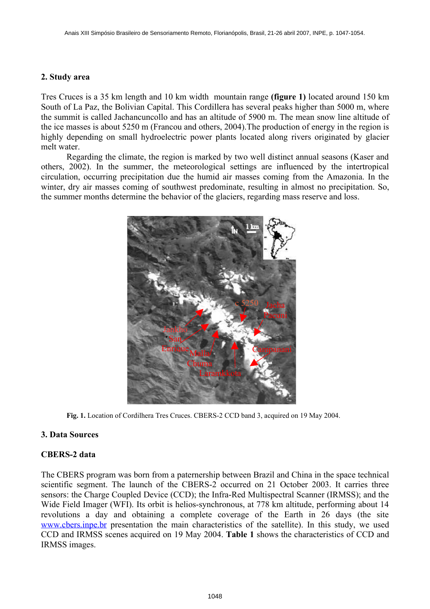# **2. Study area**

Tres Cruces is a 35 km length and 10 km width mountain range **(figure 1)** located around 150 km South of La Paz, the Bolivian Capital. This Cordillera has several peaks higher than 5000 m, where the summit is called Jachancuncollo and has an altitude of 5900 m. The mean snow line altitude of the ice masses is about 5250 m (Francou and others, 2004).The production of energy in the region is highly depending on small hydroelectric power plants located along rivers originated by glacier melt water.

Regarding the climate, the region is marked by two well distinct annual seasons (Kaser and others, 2002). In the summer, the meteorological settings are influenced by the intertropical circulation, occurring precipitation due the humid air masses coming from the Amazonia. In the winter, dry air masses coming of southwest predominate, resulting in almost no precipitation. So, the summer months determine the behavior of the glaciers, regarding mass reserve and loss.



**Fig. 1.** Location of Cordilhera Tres Cruces. CBERS-2 CCD band 3, acquired on 19 May 2004.

# **3. Data Sources**

# **CBERS-2 data**

The CBERS program was born from a paternership between Brazil and China in the space technical scientific segment. The launch of the CBERS-2 occurred on 21 October 2003. It carries three sensors: the Charge Coupled Device (CCD); the Infra-Red Multispectral Scanner (IRMSS); and the Wide Field Imager (WFI). Its orbit is helios-synchronous, at 778 km altitude, performing about 14 revolutions a day and obtaining a complete coverage of the Earth in 26 days (the site [www.cbers.inpe.br](http://www.cbers.inpe.br/) presentation the main characteristics of the satellite). In this study, we used CCD and IRMSS scenes acquired on 19 May 2004. **Table 1** shows the characteristics of CCD and IRMSS images.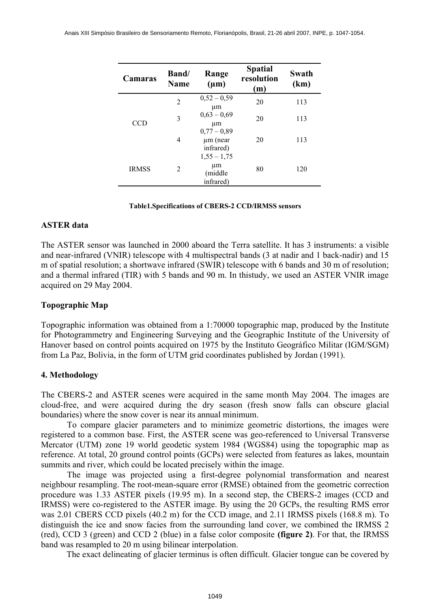| Camaras                    | Band/<br><b>Name</b> | Range<br>$(\mu m)$                                         | <b>Spatial</b><br>resolution<br>(m) | Swath<br>(km) |
|----------------------------|----------------------|------------------------------------------------------------|-------------------------------------|---------------|
| <b>CCD</b><br><b>IRMSS</b> | $\overline{c}$       | $0,52 - 0,59$<br>μm                                        | 20                                  | 113           |
|                            | 3                    | $0,63 - 0,69$<br>μm                                        | 20                                  | 113           |
|                            | 4                    | $0,77-0,89$<br>$\mu$ m (near<br>infrared)<br>$1,55 - 1,75$ | 20                                  | 113           |
|                            | 2                    | μm<br>(middle<br>infrared)                                 | 80                                  | 120           |

#### **Table1.Specifications of CBERS-2 CCD/IRMSS sensors**

### **ASTER data**

The ASTER sensor was launched in 2000 aboard the Terra satellite. It has 3 instruments: a visible and near-infrared (VNIR) telescope with 4 multispectral bands (3 at nadir and 1 back-nadir) and 15 m of spatial resolution; a shortwave infrared (SWIR) telescope with 6 bands and 30 m of resolution; and a thermal infrared (TIR) with 5 bands and 90 m. In thistudy, we used an ASTER VNIR image acquired on 29 May 2004.

### **Topographic Map**

Topographic information was obtained from a 1:70000 topographic map, produced by the Institute for Photogrammetry and Engineering Surveying and the Geographic Institute of the University of Hanover based on control points acquired on 1975 by the Instituto Geográfico Militar (IGM/SGM) from La Paz, Bolivia, in the form of UTM grid coordinates published by Jordan (1991).

# **4. Methodology**

The CBERS-2 and ASTER scenes were acquired in the same month May 2004. The images are cloud-free, and were acquired during the dry season (fresh snow falls can obscure glacial boundaries) where the snow cover is near its annual minimum.

To compare glacier parameters and to minimize geometric distortions, the images were registered to a common base. First, the ASTER scene was geo-referenced to Universal Transverse Mercator (UTM) zone 19 world geodetic system 1984 (WGS84) using the topographic map as reference. At total, 20 ground control points (GCPs) were selected from features as lakes, mountain summits and river, which could be located precisely within the image.

The image was projected using a first-degree polynomial transformation and nearest neighbour resampling. The root-mean-square error (RMSE) obtained from the geometric correction procedure was 1.33 ASTER pixels (19.95 m). In a second step, the CBERS-2 images (CCD and IRMSS) were co-registered to the ASTER image. By using the 20 GCPs, the resulting RMS error was 2.01 CBERS CCD pixels (40.2 m) for the CCD image, and 2.11 IRMSS pixels (168.8 m). To distinguish the ice and snow facies from the surrounding land cover, we combined the IRMSS 2 (red), CCD 3 (green) and CCD 2 (blue) in a false color composite **(figure 2)**. For that, the IRMSS band was resampled to 20 m using bilinear interpolation.

The exact delineating of glacier terminus is often difficult. Glacier tongue can be covered by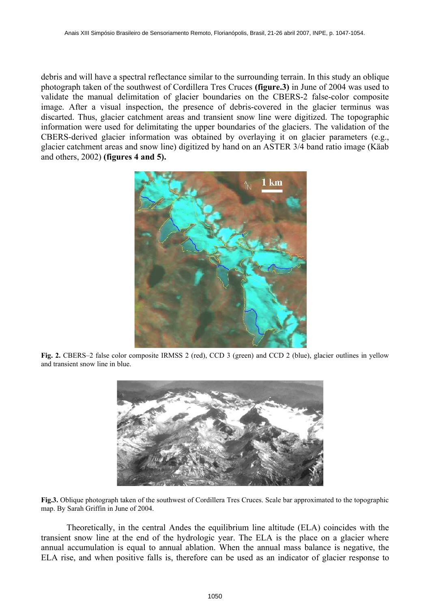debris and will have a spectral reflectance similar to the surrounding terrain. In this study an oblique photograph taken of the southwest of Cordillera Tres Cruces **(figure.3)** in June of 2004 was used to validate the manual delimitation of glacier boundaries on the CBERS-2 false-color composite image. After a visual inspection, the presence of debris-covered in the glacier terminus was discarted. Thus, glacier catchment areas and transient snow line were digitized. The topographic information were used for delimitating the upper boundaries of the glaciers. The validation of the CBERS-derived glacier information was obtained by overlaying it on glacier parameters (e.g., glacier catchment areas and snow line) digitized by hand on an ASTER 3/4 band ratio image (Käab and others, 2002) **(figures 4 and 5).**



**Fig. 2.** CBERS–2 false color composite IRMSS 2 (red), CCD 3 (green) and CCD 2 (blue), glacier outlines in yellow and transient snow line in blue.



**Fig.3.** Oblique photograph taken of the southwest of Cordillera Tres Cruces. Scale bar approximated to the topographic map. By Sarah Griffin in June of 2004.

Theoretically, in the central Andes the equilibrium line altitude (ELA) coincides with the transient snow line at the end of the hydrologic year. The ELA is the place on a glacier where annual accumulation is equal to annual ablation. When the annual mass balance is negative, the ELA rise, and when positive falls is, therefore can be used as an indicator of glacier response to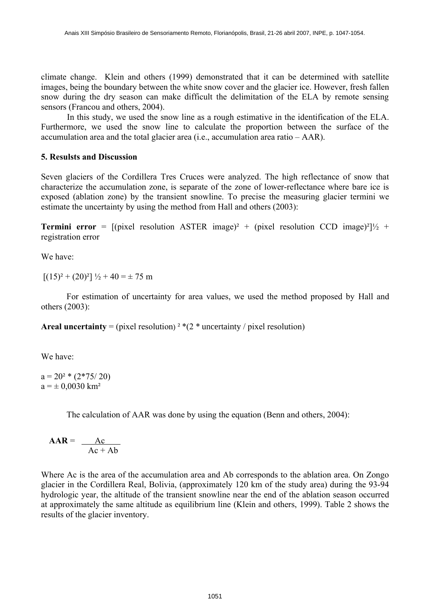climate change. Klein and others (1999) demonstrated that it can be determined with satellite images, being the boundary between the white snow cover and the glacier ice. However, fresh fallen snow during the dry season can make difficult the delimitation of the ELA by remote sensing sensors (Francou and others, 2004).

In this study, we used the snow line as a rough estimative in the identification of the ELA. Furthermore, we used the snow line to calculate the proportion between the surface of the accumulation area and the total glacier area (i.e., accumulation area ratio – AAR).

# **5. Resulsts and Discussion**

Seven glaciers of the Cordillera Tres Cruces were analyzed. The high reflectance of snow that characterize the accumulation zone, is separate of the zone of lower-reflectance where bare ice is exposed (ablation zone) by the transient snowline. To precise the measuring glacier termini we estimate the uncertainty by using the method from Hall and others (2003):

**Termini error** =  $[(pixel)$  resolution ASTER image)<sup>2</sup> + (pixel resolution CCD image)<sup>2</sup> $\frac{1}{2}$  + registration error

We have:

 $[(15)^{2} + (20)^{2}]$   $\frac{1}{2} + 40 = \pm 75$  m

For estimation of uncertainty for area values, we used the method proposed by Hall and others (2003):

**Areal uncertainty** = (pixel resolution)<sup>2 \*</sup>(2<sup>\*</sup> uncertainty / pixel resolution)

We have:

 $a = 20^{2} * (2 \cdot 75/20)$  $a = \pm 0.0030$  km<sup>2</sup>

The calculation of AAR was done by using the equation (Benn and others, 2004):

$$
AAR = \frac{Ac}{Ac + Ab}
$$

Where Ac is the area of the accumulation area and Ab corresponds to the ablation area. On Zongo glacier in the Cordillera Real, Bolivia, (approximately 120 km of the study area) during the 93-94 hydrologic year, the altitude of the transient snowline near the end of the ablation season occurred at approximately the same altitude as equilibrium line (Klein and others, 1999). Table 2 shows the results of the glacier inventory.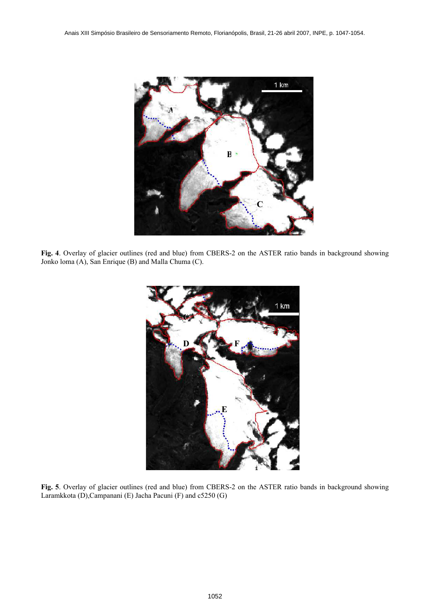

**Fig. 4**. Overlay of glacier outlines (red and blue) from CBERS-2 on the ASTER ratio bands in background showing Jonko loma (A), San Enrique (B) and Malla Chuma (C).



**Fig. 5**. Overlay of glacier outlines (red and blue) from CBERS-2 on the ASTER ratio bands in background showing Laramkkota (D),Campanani (E) Jacha Pacuni (F) and c5250 (G)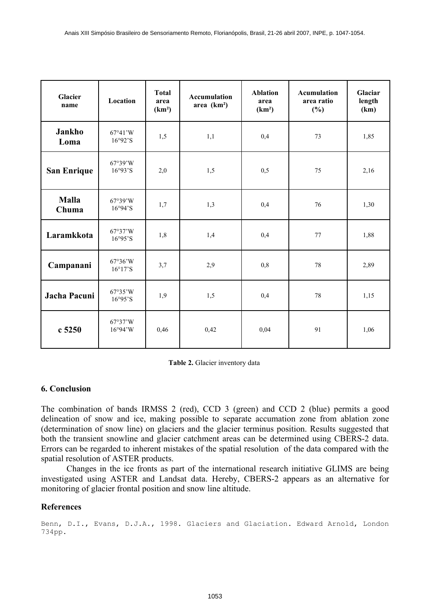| Glacier<br>name       | Location              | <b>Total</b><br>area<br>(km <sup>2</sup> ) | <b>Accumulation</b><br>area $(km2)$ | <b>Ablation</b><br>area<br>(km <sup>2</sup> ) | <b>Acumulation</b><br>area ratio<br>$(\%)$ | Glaciar<br>length<br>(km) |
|-----------------------|-----------------------|--------------------------------------------|-------------------------------------|-----------------------------------------------|--------------------------------------------|---------------------------|
| Jankho<br>Loma        | 67°41'W<br>16°92°S    | 1,5                                        | 1,1                                 | 0,4                                           | 73                                         | 1,85                      |
| <b>San Enrique</b>    | 67°39'W<br>16°93°S    | 2,0                                        | 1,5                                 | 0,5                                           | 75                                         | 2,16                      |
| <b>Malla</b><br>Chuma | 67°39'W<br>16°94°S    | 1,7                                        | 1,3                                 | 0,4                                           | 76                                         | 1,30                      |
| Laramkkota            | 67°37'W<br>16°95°S    | 1,8                                        | 1,4                                 | 0,4                                           | 77                                         | 1,88                      |
| Campanani             | 67°36'W<br>16°17'S    | 3,7                                        | 2,9                                 | 0,8                                           | 78                                         | 2,89                      |
| Jacha Pacuni          | 67°35'W<br>16°95°S    | 1,9                                        | 1,5                                 | 0,4                                           | 78                                         | 1,15                      |
| c5250                 | 67°37'W<br>$16°94'$ W | 0,46                                       | 0,42                                | 0,04                                          | 91                                         | 1,06                      |

**Table 2.** Glacier inventory data

### **6. Conclusion**

The combination of bands IRMSS 2 (red), CCD 3 (green) and CCD 2 (blue) permits a good delineation of snow and ice, making possible to separate accumation zone from ablation zone (determination of snow line) on glaciers and the glacier terminus position. Results suggested that both the transient snowline and glacier catchment areas can be determined using CBERS-2 data. Errors can be regarded to inherent mistakes of the spatial resolution of the data compared with the spatial resolution of ASTER products.

Changes in the ice fronts as part of the international research initiative GLIMS are being investigated using ASTER and Landsat data. Hereby, CBERS-2 appears as an alternative for monitoring of glacier frontal position and snow line altitude.

### **References**

Benn, D.I., Evans, D.J.A., 1998. Glaciers and Glaciation. Edward Arnold, London 734pp.